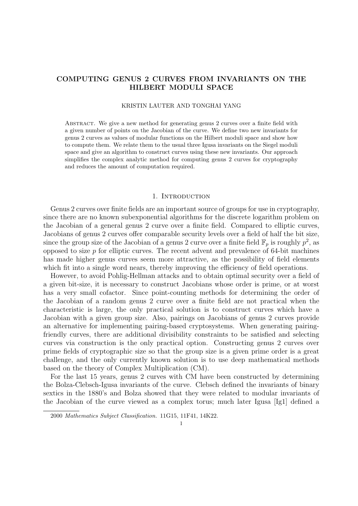# COMPUTING GENUS 2 CURVES FROM INVARIANTS ON THE HILBERT MODULI SPACE

#### KRISTIN LAUTER AND TONGHAI YANG

Abstract. We give a new method for generating genus 2 curves over a finite field with a given number of points on the Jacobian of the curve. We define two new invariants for genus 2 curves as values of modular functions on the Hilbert moduli space and show how to compute them. We relate them to the usual three Igusa invariants on the Siegel moduli space and give an algorithm to construct curves using these new invariants. Our approach simplifies the complex analytic method for computing genus 2 curves for cryptography and reduces the amount of computation required.

### 1. INTRODUCTION

Genus 2 curves over finite fields are an important source of groups for use in cryptography, since there are no known subexponential algorithms for the discrete logarithm problem on the Jacobian of a general genus 2 curve over a finite field. Compared to elliptic curves, Jacobians of genus 2 curves offer comparable security levels over a field of half the bit size, since the group size of the Jacobian of a genus 2 curve over a finite field  $\mathbb{F}_p$  is roughly  $p^2$ , as opposed to size  $p$  for elliptic curves. The recent advent and prevalence of 64-bit machines has made higher genus curves seem more attractive, as the possibility of field elements which fit into a single word nears, thereby improving the efficiency of field operations.

However, to avoid Pohlig-Hellman attacks and to obtain optimal security over a field of a given bit-size, it is necessary to construct Jacobians whose order is prime, or at worst has a very small cofactor. Since point-counting methods for determining the order of the Jacobian of a random genus 2 curve over a finite field are not practical when the characteristic is large, the only practical solution is to construct curves which have a Jacobian with a given group size. Also, pairings on Jacobians of genus 2 curves provide an alternative for implementing pairing-based cryptosystems. When generating pairingfriendly curves, there are additional divisibility constraints to be satisfied and selecting curves via construction is the only practical option. Constructing genus 2 curves over prime fields of cryptographic size so that the group size is a given prime order is a great challenge, and the only currently known solution is to use deep mathematical methods based on the theory of Complex Multiplication (CM).

For the last 15 years, genus 2 curves with CM have been constructed by determining the Bolza-Clebsch-Igusa invariants of the curve. Clebsch defined the invariants of binary sextics in the 1880's and Bolza showed that they were related to modular invariants of the Jacobian of the curve viewed as a complex torus; much later Igusa [Ig1] defined a

<sup>2000</sup> Mathematics Subject Classification. 11G15, 11F41, 14K22.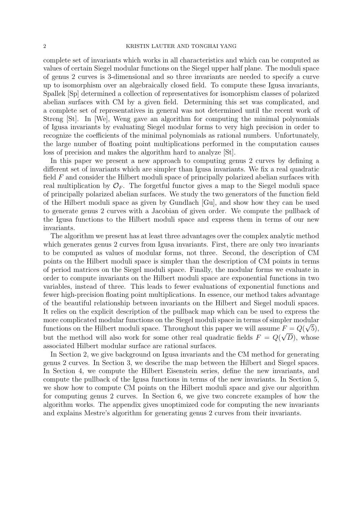complete set of invariants which works in all characteristics and which can be computed as values of certain Siegel modular functions on the Siegel upper half plane. The moduli space of genus 2 curves is 3-dimensional and so three invariants are needed to specify a curve up to isomorphism over an algebraically closed field. To compute these Igusa invariants, Spallek [Sp] determined a collection of representatives for isomorphism classes of polarized abelian surfaces with CM by a given field. Determining this set was complicated, and a complete set of representatives in general was not determined until the recent work of Streng [St]. In [We], Weng gave an algorithm for computing the minimal polynomials of Igusa invariants by evaluating Siegel modular forms to very high precision in order to recognize the coefficients of the minimal polynomials as rational numbers. Unfortunately, the large number of floating point multiplications performed in the computation causes loss of precision and makes the algorithm hard to analyze [St].

In this paper we present a new approach to computing genus 2 curves by defining a different set of invariants which are simpler than Igusa invariants. We fix a real quadratic field F and consider the Hilbert moduli space of principally polarized abelian surfaces with real multiplication by  $\mathcal{O}_F$ . The forgetful functor gives a map to the Siegel moduli space of principally polarized abelian surfaces. We study the two generators of the function field of the Hilbert moduli space as given by Gundlach [Gu], and show how they can be used to generate genus 2 curves with a Jacobian of given order. We compute the pullback of the Igusa functions to the Hilbert moduli space and express them in terms of our new invariants.

The algorithm we present has at least three advantages over the complex analytic method which generates genus 2 curves from Igusa invariants. First, there are only two invariants to be computed as values of modular forms, not three. Second, the description of CM points on the Hilbert moduli space is simpler than the description of CM points in terms of period matrices on the Siegel moduli space. Finally, the modular forms we evaluate in order to compute invariants on the Hilbert moduli space are exponential functions in two variables, instead of three. This leads to fewer evaluations of exponential functions and fewer high-precision floating point multiplications. In essence, our method takes advantage of the beautiful relationship between invariants on the Hilbert and Siegel moduli spaces. It relies on the explicit description of the pullback map which can be used to express the more complicated modular functions on the Siegel moduli space in terms of simpler modular functions on the Hilbert moduli space. Throughout this paper we will assume  $F = Q(\sqrt{5})$ , but the method will also work for some other real quadratic fields  $F = Q(\sqrt{D})$ , whose associated Hilbert modular surface are rational surfaces.

In Section 2, we give background on Igusa invariants and the CM method for generating genus 2 curves. In Section 3, we describe the map between the Hilbert and Siegel spaces. In Section 4, we compute the Hilbert Eisenstein series, define the new invariants, and compute the pullback of the Igusa functions in terms of the new invariants. In Section 5, we show how to compute CM points on the Hilbert moduli space and give our algorithm for computing genus 2 curves. In Section 6, we give two concrete examples of how the algorithm works. The appendix gives unoptimized code for computing the new invariants and explains Mestre's algorithm for generating genus 2 curves from their invariants.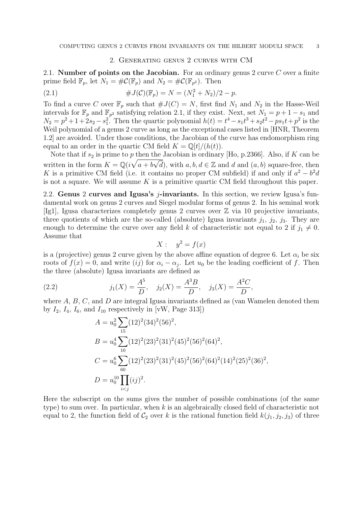### 2. Generating genus 2 curves with CM

2.1. **Number of points on the Jacobian.** For an ordinary genus 2 curve  $C$  over a finite prime field  $\mathbb{F}_p$ , let  $N_1 = \#\mathcal{C}(\mathbb{F}_p)$  and  $N_2 = \#\mathcal{C}(\mathbb{F}_{p^2})$ . Then

(2.1) 
$$
\#J(\mathcal{C})(\mathbb{F}_p) = N = (N_1^2 + N_2)/2 - p.
$$

To find a curve C over  $\mathbb{F}_p$  such that  $\#J(C) = N$ , first find  $N_1$  and  $N_2$  in the Hasse-Weil intervals for  $\mathbb{F}_p$  and  $\mathbb{F}_{p^2}$  satisfying relation 2.1, if they exist. Next, set  $N_1 = p + 1 - s_1$  and  $N_2 = p^2 + 1 + 2s_2 - s_1^2$ . Then the quartic polynomial  $h(t) = t^4 - s_1t^3 + s_2t^2 - ps_1t + p^2$  is the Weil polynomial of a genus 2 curve as long as the exceptional cases listed in [HNR, Theorem] 1.2] are avoided. Under those conditions, the Jacobian of the curve has endomorphism ring equal to an order in the quartic CM field  $K = \mathbb{Q}[t]/(h(t)).$ 

Note that if  $s_2$  is prime to p then the Jacobian is ordinary [Ho, p.2366]. Also, if K can be written in the form  $K = \mathbb{Q}(i\sqrt{a+b\sqrt{d}})$ , with  $a, b, d \in \mathbb{Z}$  and d and  $(a, b)$  square-free, then K is a primitive CM field (i.e. it contains no proper CM subfield) if and only if  $a^2 - b^2d$ is not a square. We will assume  $K$  is a primitive quartic CM field throughout this paper.

2.2. Genus 2 curves and Igusa's j-invariants. In this section, we review Igusa's fundamental work on genus 2 curves and Siegel modular forms of genus 2. In his seminal work [Ig1], Igusa characterizes completely genus 2 curves over  $\mathbb Z$  via 10 projective invariants, three quotients of which are the so-called (absolute) Igusa invariants  $j_1$ ,  $j_2$ ,  $j_3$ . They are enough to determine the curve over any field k of characteristic not equal to 2 if  $j_1 \neq 0$ . Assume that

$$
X: \quad y^2 = f(x)
$$

is a (projective) genus 2 curve given by the above affine equation of degree 6. Let  $\alpha_i$  be six roots of  $f(x) = 0$ , and write  $(ij)$  for  $\alpha_i - \alpha_j$ . Let  $u_0$  be the leading coefficient of f. Then the three (absolute) Igusa invariants are defined as

(2.2) 
$$
j_1(X) = \frac{A^5}{D}, \quad j_2(X) = \frac{A^3 B}{D}, \quad j_3(X) = \frac{A^2 C}{D},
$$

where  $A, B, C$ , and  $D$  are integral Igusa invariants defined as (van Wamelen denoted them by  $I_2$ ,  $I_4$ ,  $I_6$ , and  $I_{10}$  respectively in [vW, Page 313])

$$
A = u_0^2 \sum_{15} (12)^2 (34)^2 (56)^2,
$$
  
\n
$$
B = u_0^4 \sum_{10} (12)^2 (23)^2 (31)^2 (45)^2 (56)^2 (64)^2,
$$
  
\n
$$
C = u_0^6 \sum_{60} (12)^2 (23)^2 (31)^2 (45)^2 (56)^2 (64)^2 (14)^2 (25)^2 (36)^2,
$$
  
\n
$$
D = u_0^{10} \prod_{i < j} (ij)^2.
$$

Here the subscript on the sums gives the number of possible combinations (of the same type) to sum over. In particular, when  $k$  is an algebraically closed field of characteristic not equal to 2, the function field of  $C_2$  over k is the rational function field  $k(j_1, j_2, j_3)$  of three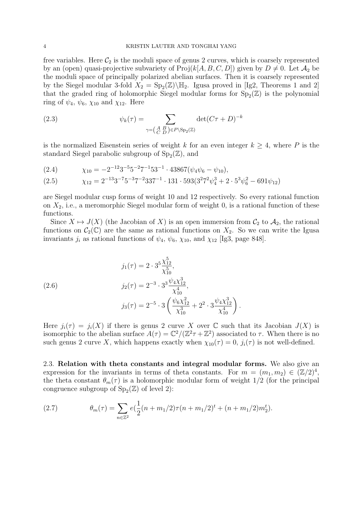### 4 KRISTIN LAUTER AND TONGHAI YANG

free variables. Here  $\mathcal{C}_2$  is the moduli space of genus 2 curves, which is coarsely represented by an (open) quasi-projective subvariety of  $\text{Proj}(k[A, B, C, D])$  given by  $D \neq 0$ . Let  $\mathcal{A}_2$  be the moduli space of principally polarized abelian surfaces. Then it is coarsely represented by the Siegel modular 3-fold  $X_2 = \text{Sp}_2(\mathbb{Z})\backslash \mathbb{H}_2$ . Igusa proved in [Ig2, Theorems 1 and 2] that the graded ring of holomorphic Siegel modular forms for  $Sp_2(\mathbb{Z})$  is the polynomial ring of  $\psi_4$ ,  $\psi_6$ ,  $\chi_{10}$  and  $\chi_{12}$ . Here

(2.3) 
$$
\psi_k(\tau) = \sum_{\gamma = \left(\begin{smallmatrix} A & B \\ C & D \end{smallmatrix}\right) \in P \setminus \text{Sp}_2(\mathbb{Z})} \det(C\tau + D)^{-k}
$$

is the normalized Eisenstein series of weight k for an even integer  $k \geq 4$ , where P is the standard Siegel parabolic subgroup of  $\text{Sp}_2(\mathbb{Z})$ , and

$$
(2.4) \t\t \chi_{10} = -2^{-12}3^{-5}5^{-2}7^{-1}53^{-1} \cdot 43867(\psi_4\psi_6 - \psi_{10}),
$$

(2.5) 
$$
\chi_{12} = 2^{-13}3^{-7}5^{-3}7^{-2}337^{-1} \cdot 131 \cdot 593(3^{2}7^{2}\psi_{4}^{3} + 2 \cdot 5^{3}\psi_{6}^{2} - 691\psi_{12})
$$

are Siegel modular cusp forms of weight 10 and 12 respectively. So every rational function on  $X_2$ , i.e., a meromorphic Siegel modular form of weight 0, is a rational function of these functions.

Since  $X \mapsto J(X)$  (the Jacobian of X) is an open immersion from  $\mathcal{C}_2$  to  $\mathcal{A}_2$ , the rational functions on  $\mathcal{C}_2(\mathbb{C})$  are the same as rational functions on  $X_2$ . So we can write the Igusa invariants  $j_i$  as rational functions of  $\psi_4$ ,  $\psi_6$ ,  $\chi_{10}$ , and  $\chi_{12}$  [Ig3, page 848].

(2.6)  
\n
$$
j_1(\tau) = 2 \cdot 3^5 \frac{\chi_{12}^5}{\chi_{10}^5},
$$
\n
$$
j_2(\tau) = 2^{-3} \cdot 3^3 \frac{\psi_4 \chi_{12}^3}{\chi_{10}^4},
$$
\n
$$
j_3(\tau) = 2^{-5} \cdot 3 \left( \frac{\psi_6 \chi_{12}^2}{\chi_{10}^3} + 2^2 \cdot 3 \frac{\psi_4 \chi_{12}^3}{\chi_{10}^4} \right).
$$

Here  $j_i(\tau) = j_i(X)$  if there is genus 2 curve X over C such that its Jacobian  $J(X)$  is isomorphic to the abelian surface  $A(\tau) = \mathbb{C}^2/(\mathbb{Z}^2 \tau + \mathbb{Z}^2)$  associated to  $\tau$ . When there is no such genus 2 curve X, which happens exactly when  $\chi_{10}(\tau) = 0$ ,  $j_i(\tau)$  is not well-defined.

2.3. Relation with theta constants and integral modular forms. We also give an expression for the invariants in terms of theta constants. For  $m = (m_1, m_2) \in (\mathbb{Z}/2)^4$ , the theta constant  $\theta_m(\tau)$  is a holomorphic modular form of weight 1/2 (for the principal congruence subgroup of  $Sp_2(\mathbb{Z})$  of level 2):

(2.7) 
$$
\theta_m(\tau) = \sum_{n \in \mathbb{Z}^2} e(\frac{1}{2}(n+m_1/2)\tau(n+m_1/2)^t + (n+m_1/2)m_2^t).
$$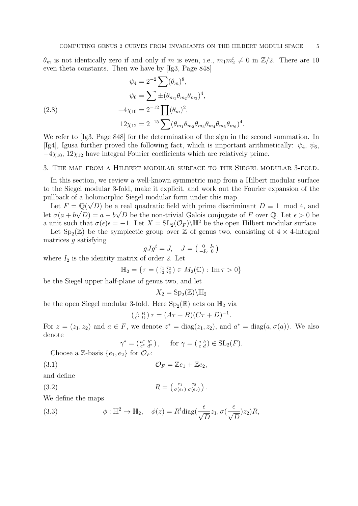$\theta_m$  is not identically zero if and only if m is even, i.e.,  $m_1 m_2^t \neq 0$  in  $\mathbb{Z}/2$ . There are 10 even theta constants. Then we have by [Ig3, Page 848]

(2.8)  
\n
$$
\psi_4 = 2^{-2} \sum (\theta_m)^8,
$$
\n
$$
\psi_6 = \sum \pm (\theta_{m_1} \theta_{m_2} \theta_{m_3})^4,
$$
\n
$$
-4\chi_{10} = 2^{-12} \prod (\theta_m)^2,
$$
\n
$$
12\chi_{12} = 2^{-15} \sum (\theta_{m_1} \theta_{m_2} \theta_{m_3} \theta_{m_4} \theta_{m_5} \theta_{m_6})^4.
$$

We refer to [Ig3, Page 848] for the determination of the sign in the second summation. In [Ig4], Igusa further proved the following fact, which is important arithmetically:  $\psi_4$ ,  $\psi_6$ ,  $-4\chi_{10}$ ,  $12\chi_{12}$  have integral Fourier coefficients which are relatively prime.

### 3. The map from a Hilbert modular surface to the Siegel modular 3-fold.

In this section, we review a well-known symmetric map from a Hilbert modular surface to the Siegel modular 3-fold, make it explicit, and work out the Fourier expansion of the pullback of a holomorphic Siegel modular form under this map.

Let  $F = \mathbb{Q}(\sqrt{D})$  be a real quadratic field with prime discriminant  $D \equiv 1 \mod 4$ , and let  $\sigma(a+b\sqrt{D})=a-b\sqrt{D}$  be the non-trivial Galois conjugate of F over Q. Let  $\epsilon > 0$  be a unit such that  $\sigma(\epsilon)\epsilon = -1$ . Let  $X = SL_2(\mathcal{O}_F)\backslash\mathbb{H}^2$  be the open Hilbert modular surface.

Let  $Sp_2(\mathbb{Z})$  be the symplectic group over  $\mathbb{Z}$  of genus two, consisting of  $4 \times 4$ -integral matrices  $q$  satisfying

$$
gJg^t = J, \quad J = \begin{pmatrix} 0 & I_2 \\ -I_2 & 0 \end{pmatrix}
$$

where  $I_2$  is the identity matrix of order 2. Let

$$
\mathbb{H}_2 = \{ \tau = (\begin{smallmatrix} \tau_1 & \tau_2 \\ \tau_2 & \tau_3 \end{smallmatrix}) \in M_2(\mathbb{C}) : \text{Im}\,\tau > 0 \}
$$

be the Siegel upper half-plane of genus two, and let

$$
X_2 = \mathrm{Sp}_2(\mathbb{Z}) \backslash \mathbb{H}_2
$$

be the open Siegel modular 3-fold. Here  $\text{Sp}_2(\mathbb{R})$  acts on  $\mathbb{H}_2$  via

$$
\left(\begin{smallmatrix} A & B \\ C & D \end{smallmatrix}\right)\tau = (A\tau + B)(C\tau + D)^{-1}
$$

.

For  $z = (z_1, z_2)$  and  $a \in F$ , we denote  $z^* = \text{diag}(z_1, z_2)$ , and  $a^* = \text{diag}(a, \sigma(a))$ . We also denote

$$
\gamma^* = \left(\begin{smallmatrix} a^* & b^* \\ c^* & d^* \end{smallmatrix}\right), \quad \text{ for } \gamma = \left(\begin{smallmatrix} a & b \\ c & d \end{smallmatrix}\right) \in \text{SL}_2(F).
$$

Choose a Z-basis  $\{e_1, e_2\}$  for  $\mathcal{O}_F$ :

$$
(3.1) \t\t \t\t \mathcal{O}_F = \mathbb{Z}e_1 + \mathbb{Z}e_2,
$$

and define

$$
(3.2)
$$

$$
(3.2) \t\t R = \begin{pmatrix} e_1 & e_2 \\ \sigma(e_1) & \sigma(e_2) \end{pmatrix}.
$$

We define the maps

(3.3) 
$$
\phi : \mathbb{H}^2 \to \mathbb{H}_2, \quad \phi(z) = R^t \text{diag}(\frac{\epsilon}{\sqrt{D}} z_1, \sigma(\frac{\epsilon}{\sqrt{D}}) z_2) R,
$$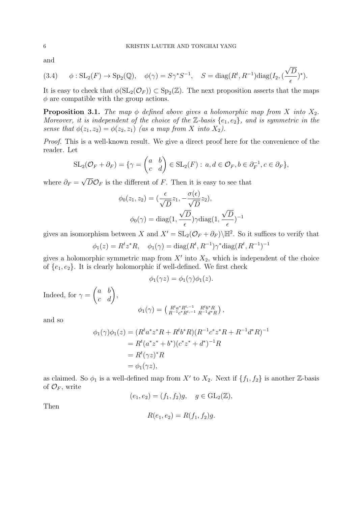√

and

$$
(3.4) \qquad \phi: SL_2(F) \to Sp_2(\mathbb{Q}), \quad \phi(\gamma) = S\gamma^* S^{-1}, \quad S = \text{diag}(R^t, R^{-1}) \text{diag}(I_2, (\frac{\sqrt{D}}{\epsilon})^*).
$$

It is easy to check that  $\phi(\mathrm{SL}_2(\mathcal{O}_F)) \subset \mathrm{Sp}_2(\mathbb{Z})$ . The next proposition asserts that the maps  $\phi$  are compatible with the group actions.

**Proposition 3.1.** The map  $\phi$  defined above gives a holomorphic map from X into  $X_2$ . Moreover, it is independent of the choice of the  $\mathbb{Z}$ -basis  $\{e_1, e_2\}$ , and is symmetric in the sense that  $\phi(z_1, z_2) = \phi(z_2, z_1)$  (as a map from X into X<sub>2</sub>).

Proof. This is a well-known result. We give a direct proof here for the convenience of the reader. Let

$$
SL_2(\mathcal{O}_F + \partial_F) = \{ \gamma = \begin{pmatrix} a & b \\ c & d \end{pmatrix} \in SL_2(F) : a, d \in \mathcal{O}_F, b \in \partial_F^{-1}, c \in \partial_F \},\
$$

where  $\partial_F =$  $D\mathcal{O}_F$  is the different of F. Then it is easy to see that

$$
\phi_0(z_1, z_2) = \left(\frac{\epsilon}{\sqrt{D}} z_1, -\frac{\sigma(\epsilon)}{\sqrt{D}} z_2\right),
$$

$$
\phi_0(\gamma) = \text{diag}(1, \frac{\sqrt{D}}{\epsilon}) \gamma \text{diag}(1, \frac{\sqrt{D}}{\epsilon})^{-1}
$$

gives an isomorphism between X and  $X' = SL_2(\mathcal{O}_F + \partial_F) \backslash \mathbb{H}^2$ . So it suffices to verify that

$$
\phi_1(z) = R^t z^* R
$$
,  $\phi_1(\gamma) = \text{diag}(R^t, R^{-1}) \gamma^* \text{diag}(R^t, R^{-1})^{-1}$ 

gives a holomorphic symmetric map from  $X'$  into  $X_2$ , which is independent of the choice of  ${e_1, e_2}$ . It is clearly holomorphic if well-defined. We first check

$$
\phi_1(\gamma z) = \phi_1(\gamma)\phi_1(z).
$$

Indeed, for  $\gamma =$  $\begin{pmatrix} a & b \\ c & d \end{pmatrix}$ 

$$
\phi_1(\gamma) = \left( \begin{smallmatrix} R^t a^* R^{t,-1} & R^t b^* R \\ R^{-1} c^* R^{t,-1} & R^{-1} d^* R \end{smallmatrix} \right),
$$

and so

$$
\phi_1(\gamma)\phi_1(z) = (R^t a^* z^* R + R^t b^* R)(R^{-1} c^* z^* R + R^{-1} d^* R)^{-1}
$$
  
=  $R^t (a^* z^* + b^*)(c^* z^* + d^*)^{-1} R$   
=  $R^t (\gamma z)^* R$   
=  $\phi_1(\gamma z)$ ,

as claimed. So  $\phi_1$  is a well-defined map from X' to  $X_2$ . Next if  $\{f_1, f_2\}$  is another Z-basis of  $\mathcal{O}_F$ , write

$$
(e_1, e_2) = (f_1, f_2)g, \quad g \in GL_2(\mathbb{Z}),
$$

Then

$$
R(e_1, e_2) = R(f_1, f_2)g.
$$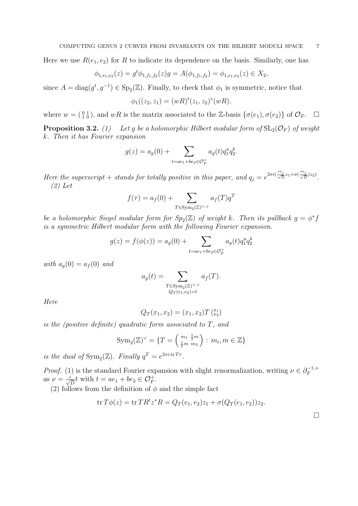Here we use  $R(e_1, e_2)$  for R to indicate its dependence on the basis. Similarly, one has

$$
\phi_{1,e_1,e_2}(z) = g^t \phi_{1,f_1,f_2}(z)g = A(\phi_{1,f_1,f_2}) = \phi_{1,e_1,e_2}(z) \in X_2,
$$

since  $A = diag(g^t, g^{-1}) \in \text{Sp}_2(\mathbb{Z})$ . Finally, to check that  $\phi_1$  is symmetric, notice that

$$
\phi_1((z_2, z_1) = (wR)^t(z_1, z_2)^*(wR),
$$

where  $w = \begin{pmatrix} 0 & 1 \\ 1 & 0 \end{pmatrix}$ , and  $wR$  is the matrix associated to the Z-basis  $\{\sigma(e_1), \sigma(e_2)\}$  of  $\mathcal{O}_F$ .  $\Box$ 

**Proposition 3.2.** (1) Let g be a holomorphic Hilbert modular form of  $SL_2(\mathcal{O}_F)$  of weight k. Then it has Fourier expansion

$$
g(z) = a_g(0) + \sum_{t = ae_1 + be_2 \in \mathcal{O}_F^+} a_g(t) q_1^a q_2^b.
$$

Here the superscript  $+$  stands for totally positive in this paper, and  $q_j = e^{2\pi i (\frac{\epsilon e_j}{\sqrt{D}} z_1 + \sigma (\frac{\epsilon e_j}{\sqrt{D}})z_2)}$ . (2) Let

$$
f(\tau) = a_f(0) + \sum_{T \in \text{Sym}_2(\mathbb{Z})^{\vee,+}} a_f(T) q^T
$$

be a holomorphic Siegel modular form for  $Sp_2(\mathbb{Z})$  of weight k. Then its pullback  $g = \phi^* f$ is a symmetric Hilbert modular form with the following Fourier expansion.

$$
g(z) = f(\phi(z)) = a_g(0) + \sum_{t = ae_1 + be_2 \in \mathcal{O}_F^+} a_g(t) q_1^a q_2^b
$$

with  $a_q(0) = a_f(0)$  and

$$
a_g(t) = \sum_{\substack{T \in \text{Sym}_2(\mathbb{Z})^{\vee,+} \\ Q_T(e_1, e_2) = t}} a_f(T).
$$

Here

$$
Q_T(x_1, x_2) = (x_1, x_2) T\binom{x_1}{x_2}
$$

is the (positive definite) quadratic form associated to T, and

$$
\operatorname{Sym}_2(\mathbb{Z})^{\vee} = \{ T = \left( \begin{smallmatrix} m_1 & \frac{1}{2}m \\ \frac{1}{2}m & m_2 \end{smallmatrix} \right) : m_i, m \in \mathbb{Z} \}
$$

is the dual of  $\text{Sym}_2(\mathbb{Z})$ . Finally  $q^T = e^{2\pi i \, \text{tr} T \tau}$ .

*Proof.* (1) is the standard Fourier expansion with slight renormalization, writing  $\nu \in \partial_F^{-1,+}$ F as  $\nu = \frac{\epsilon}{\sqrt{D}} t$  with  $t = ae_1 + be_2 \in \mathcal{O}_F^+$ .

(2) follows from the definition of  $\phi$  and the simple fact

$$
\operatorname{tr} T\phi(z) = \operatorname{tr} TR^t z^* R = Q_T(e_1, e_2)z_1 + \sigma(Q_T(e_1, e_2))z_2.
$$

 $\Box$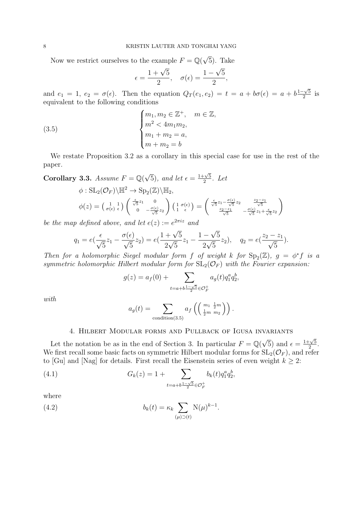Now we restrict ourselves to the example  $F = \mathbb{Q}(\sqrt{\mathbb{Q}})$ 5). Take

$$
\epsilon = \frac{1+\sqrt{5}}{2}, \quad \sigma(\epsilon) = \frac{1-\sqrt{5}}{2},
$$

and  $e_1 = 1$ ,  $e_2 = \sigma(\epsilon)$ . Then the equation  $Q_T(e_1, e_2) = t = a + b\sigma(\epsilon) = a + b\frac{1-\sqrt{5}}{2}$  $\frac{1}{2}$ <sup>o</sup> is equivalent to the following conditions

(3.5) 
$$
\begin{cases} m_1, m_2 \in \mathbb{Z}^+, & m \in \mathbb{Z}, \\ m^2 < 4m_1m_2, \\ m_1 + m_2 = a, \\ m + m_2 = b \end{cases}
$$

We restate Proposition 3.2 as a corollary in this special case for use in the rest of the paper.

Corollary 3.3. Assume  $F = \mathbb{Q}(\sqrt{2})$  $\overline{5}$ , and let  $\epsilon = \frac{1+\sqrt{5}}{2}$  $rac{\cdot \sqrt{5}}{2}$ . Let  $\phi: \operatorname{SL}_2(\mathcal{O}_F)\backslash \mathbb{H}^2 \to \operatorname{Sp}_2(\mathbb{Z})\backslash \mathbb{H}_2,$  $\phi(z) = \left(\begin{smallmatrix} 1 & 1 \\ \sigma(\epsilon) & \epsilon \end{smallmatrix}\right) \left(\begin{smallmatrix} \frac{\epsilon}{\sqrt{5}}z_1 & 0 \ 0 & -\frac{\sigma(\epsilon)}{2} \end{smallmatrix}\right)$ 0  $-\frac{\sigma(\epsilon)}{\sqrt{5}}z_2$  $\left( \begin{array}{cc} 1 & \sigma(\epsilon) \\ 1 & \sigma(\epsilon) \end{array} \right)$  $\frac{1}{1} \frac{\sigma(\epsilon)}{\epsilon}$  =  $\left(\begin{array}{r} {\frac{\epsilon}{\sqrt{5}}}z_1-{\frac{\sigma(\epsilon)}{\sqrt{5}}}z_2 & \frac{z_2-z_1}{\sqrt{5}} \\ \frac{z_2-z_1}{\sqrt{5}} & -\frac{\sigma(\epsilon)}{\sqrt{5}}z_1+ \frac{\epsilon}{\sqrt{5}}z_2 \end{array}\right.$ 

be the map defined above, and let  $e(z) := e^{2\pi i z}$  and

$$
q_1 = e\left(\frac{\epsilon}{\sqrt{5}}z_1 - \frac{\sigma(\epsilon)}{\sqrt{5}}z_2\right) = e\left(\frac{1+\sqrt{5}}{2\sqrt{5}}z_1 - \frac{1-\sqrt{5}}{2\sqrt{5}}z_2\right), \quad q_2 = e\left(\frac{z_2 - z_1}{\sqrt{5}}\right).
$$

 $\setminus$ 

Then for a holomorphic Siegel modular form f of weight k for  $\text{Sp}_2(\mathbb{Z})$ ,  $g = \phi^* f$  is a symmetric holomorphic Hilbert modular form for  $SL_2(\mathcal{O}_F)$  with the Fourier expansion:

$$
g(z) = a_f(0) + \sum_{t=a+b\frac{1-\sqrt{5}}{2} \in \mathcal{O}_F^+} a_g(t) q_1^a q_2^b,
$$

with

$$
a_g(t) = \sum_{\text{condition}(3.5)} a_f\left(\left(\begin{array}{c}m_1 & \frac{1}{2}m \\ \frac{1}{2}m & m_2\end{array}\right)\right).
$$

## 4. Hilbert Modular forms and Pullback of Igusa invariants

Let the notation be as in the end of Section 3. In particular  $F = \mathbb{Q}(\sqrt{\sqrt{2}})$  $\overline{5}$ ) and  $\epsilon = \frac{1+\sqrt{5}}{2}$  $\frac{-\sqrt{5}}{2}$ . We first recall some basic facts on symmetric Hilbert modular forms for  $SL_2(\mathcal{O}_F)$ , and refer to [Gu] and [Nag] for details. First recall the Eisenstein series of even weight  $k \geq 2$ :

(4.1) 
$$
G_k(z) = 1 + \sum_{t=a+b\frac{1-\sqrt{5}}{2} \in \mathcal{O}_F^+} b_k(t) q_1^a q_2^b,
$$

where

(4.2) 
$$
b_k(t) = \kappa_k \sum_{(\mu) \supset (t)} \mathcal{N}(\mu)^{k-1}.
$$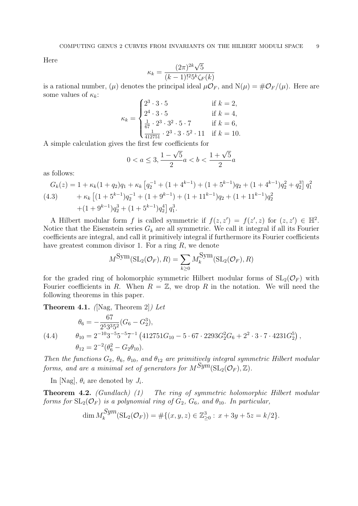Here

$$
\kappa_k = \frac{(2\pi)^{2k}\sqrt{5}}{(k-1)!^2 5^k \zeta_F(k)}
$$

is a rational number,  $(\mu)$  denotes the principal ideal  $\mu \mathcal{O}_F$ , and  $N(\mu) = \# \mathcal{O}_F/(\mu)$ . Here are some values of  $\kappa_k$ :

$$
\kappa_k = \begin{cases}\n2^3 \cdot 3 \cdot 5 & \text{if } k = 2, \\
2^4 \cdot 3 \cdot 5 & \text{if } k = 4, \\
\frac{1}{67} \cdot 2^3 \cdot 3^2 \cdot 5 \cdot 7 & \text{if } k = 6, \\
\frac{1}{412751} \cdot 2^3 \cdot 3 \cdot 5^2 \cdot 11 & \text{if } k = 10.\n\end{cases}
$$

A simple calculation gives the first few coefficients for

$$
0 < a \le 3, \frac{1 - \sqrt{5}}{2}a < b < \frac{1 + \sqrt{5}}{2}a
$$

as follows:

$$
G_k(z) = 1 + \kappa_k (1 + q_2) q_1 + \kappa_k \left[ q_2^{-1} + (1 + 4^{k-1}) + (1 + 5^{k-1}) q_2 + (1 + 4^{k-1}) q_2^2 + q_2^3 \right] q_1^2
$$
  
(4.3) 
$$
+ \kappa_k \left[ (1 + 5^{k-1}) q_2^{-1} + (1 + 9^{k-1}) + (1 + 11^{k-1}) q_2 + (1 + 11^{k-1}) q_2^2 + (1 + 9^{k-1}) q_2^3 + (1 + 5^{k-1}) q_2^4 \right] q_1^3.
$$

A Hilbert modular form f is called symmetric if  $f(z, z') = f(z', z)$  for  $(z, z') \in \mathbb{H}^2$ . Notice that the Eisenstein series  $G_k$  are all symmetric. We call it integral if all its Fourier coefficients are integral, and call it primitively integral if furthermore its Fourier coefficients have greatest common divisor 1. For a ring  $R$ , we denote

$$
M^{\text{Sym}}(\text{SL}_2(\mathcal{O}_F), R) = \sum_{k \geq 0} M_k^{\text{Sym}}(\text{SL}_2(\mathcal{O}_F), R)
$$

for the graded ring of holomorphic symmetric Hilbert modular forms of  $SL_2(\mathcal{O}_F)$  with Fourier coefficients in R. When  $R = \mathbb{Z}$ , we drop R in the notation. We will need the following theorems in this paper.

**Theorem 4.1.** ([Nag, Theorem 2]) Let

(4.4) 
$$
\theta_6 = -\frac{67}{2^5 3^3 5^2} (G_6 - G_2^3), \n\theta_{10} = 2^{-10} 3^{-5} 5^{-5} 7^{-1} (412751G_{10} - 5 \cdot 67 \cdot 2293G_2^2 G_6 + 2^2 \cdot 3 \cdot 7 \cdot 4231G_2^5), \n\theta_{12} = 2^{-2} (\theta_6^2 - G_2 \theta_{10}).
$$

Then the functions  $G_2$ ,  $\theta_6$ ,  $\theta_{10}$ , and  $\theta_{12}$  are primitively integral symmetric Hilbert modular forms, and are a minimal set of generators for  $M^{Sym}(\mathrm{SL}_2(\mathcal{O}_F), \mathbb{Z})$ .

In [Nag],  $\theta_i$  are denoted by  $J_i$ .

Theorem 4.2. (Gundlach) (1) The ring of symmetric holomorphic Hilbert modular forms for  $SL_2(\mathcal{O}_F)$  is a polynomial ring of  $G_2$ ,  $G_6$ , and  $\theta_{10}$ . In particular,

$$
\dim M_k^{Sym}(\mathrm{SL}_2(\mathcal{O}_F)) = \# \{ (x, y, z) \in \mathbb{Z}_{\geq 0}^3 : x + 3y + 5z = k/2 \}.
$$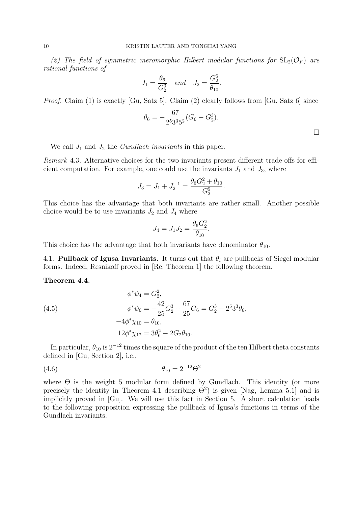(2) The field of symmetric meromorphic Hilbert modular functions for  $SL_2(\mathcal{O}_F)$  are rational functions of

$$
J_1 = \frac{\theta_6}{G_2^3}
$$
 and  $J_2 = \frac{G_2^5}{\theta_{10}}$ .

Proof. Claim (1) is exactly [Gu, Satz 5]. Claim (2) clearly follows from [Gu, Satz 6] since

$$
\theta_6 = -\frac{67}{2^5 3^3 5^2} (G_6 - G_2^3).
$$

We call  $J_1$  and  $J_2$  the *Gundlach invariants* in this paper.

Remark 4.3. Alternative choices for the two invariants present different trade-offs for efficient computation. For example, one could use the invariants  $J_1$  and  $J_3$ , where

$$
J_3 = J_1 + J_2^{-1} = \frac{\theta_6 G_2^2 + \theta_{10}}{G_2^5}.
$$

This choice has the advantage that both invariants are rather small. Another possible choice would be to use invariants  $J_2$  and  $J_4$  where

$$
J_4 = J_1 J_2 = \frac{\theta_6 G_2^2}{\theta_{10}}.
$$

This choice has the advantage that both invariants have denominator  $\theta_{10}$ .

4.1. Pullback of Igusa Invariants. It turns out that  $\theta_i$  are pullbacks of Siegel modular forms. Indeed, Resnikoff proved in [Re, Theorem 1] the following theorem.

## Theorem 4.4.

(4.5)  
\n
$$
\phi^*\psi_4 = G_2^2,
$$
\n
$$
\phi^*\psi_6 = -\frac{42}{25}G_2^3 + \frac{67}{25}G_6 = G_2^3 - 2^5 3^3 \theta_6,
$$
\n
$$
-4\phi^*\chi_{10} = \theta_{10},
$$
\n
$$
12\phi^*\chi_{12} = 3\theta_6^2 - 2G_2\theta_{10}.
$$

In particular,  $\theta_{10}$  is  $2^{-12}$  times the square of the product of the ten Hilbert theta constants defined in [Gu, Section 2], i.e.,

(4.6) 
$$
\theta_{10} = 2^{-12} \Theta^2
$$

where  $\Theta$  is the weight 5 modular form defined by Gundlach. This identity (or more precisely the identity in Theorem 4.1 describing  $\Theta^2$ ) is given [Nag, Lemma 5.1] and is implicitly proved in [Gu]. We will use this fact in Section 5. A short calculation leads to the following proposition expressing the pullback of Igusa's functions in terms of the Gundlach invariants.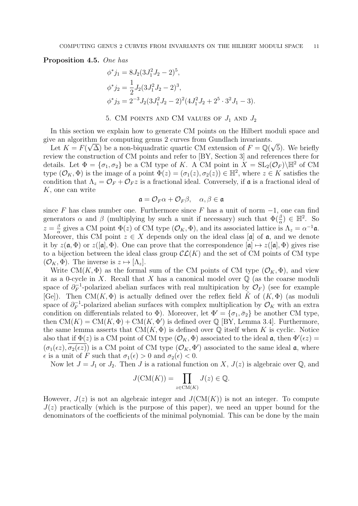Proposition 4.5. One has

$$
\begin{aligned}\n\phi^* j_1 &= 8J_2(3J_1^2 J_2 - 2)^5, \\
\phi^* j_2 &= \frac{1}{2}J_2(3J_1^2 J_2 - 2)^3, \\
\phi^* j_3 &= 2^{-3}J_2(3J_1^2 J_2 - 2)^2(4J_1^2 J_2 + 2^5 \cdot 3^2 J_1 - 3).\n\end{aligned}
$$

### 5. CM POINTS AND CM VALUES OF  $J_1$  AND  $J_2$

In this section we explain how to generate CM points on the Hilbert moduli space and give an algorithm for computing genus 2 curves from Gundlach invariants.

Let  $K = F(\sqrt{\Delta})$  be a non-biquadratic quartic CM extension of  $F = \mathbb{Q}(\sqrt{\Delta})$ 5). We briefly review the construction of CM points and refer to [BY, Section 3] and references there for details. Let  $\Phi = {\sigma_1, \sigma_2}$  be a CM type of K. A CM point in  $X = SL_2(\mathcal{O}_F) \backslash \mathbb{H}^2$  of CM type  $(\mathcal{O}_K, \Phi)$  is the image of a point  $\Phi(z) = (\sigma_1(z), \sigma_2(z)) \in \mathbb{H}^2$ , where  $z \in K$  satisfies the condition that  $\Lambda_z = \mathcal{O}_F + \mathcal{O}_F z$  is a fractional ideal. Conversely, if **a** is a fractional ideal of K, one can write

$$
\mathfrak{a} = \mathcal{O}_F \alpha + \mathcal{O}_F \beta, \quad \alpha, \beta \in \mathfrak{a}
$$

since F has class number one. Furthermore since F has a unit of norm  $-1$ , one can find generators  $\alpha$  and  $\beta$  (multiplying by such a unit if necessary) such that  $\Phi(\frac{\beta}{\alpha}) \in \mathbb{H}^2$ . So  $z=\frac{\beta}{\alpha}$  $\frac{\beta}{\alpha}$  gives a CM point  $\Phi(z)$  of CM type  $(\mathcal{O}_K, \Phi)$ , and its associated lattice is  $\Lambda_z = \alpha^{-1}\mathfrak{a}$ . Moreover, this CM point  $z \in X$  depends only on the ideal class [a] of a, and we denote it by  $z(\mathfrak{a}, \Phi)$  or  $z([\mathfrak{a}], \Phi)$ . One can prove that the correspondence  $[\mathfrak{a}] \mapsto z([\mathfrak{a}], \Phi)$  gives rise to a bijection between the ideal class group  $\mathcal{CL}(K)$  and the set of CM points of CM type  $(\mathcal{O}_K, \Phi)$ . The inverse is  $z \mapsto [\Lambda_z]$ .

Write CM(K,  $\Phi$ ) as the formal sum of the CM points of CM type  $(\mathcal{O}_K, \Phi)$ , and view it as a 0-cycle in X. Recall that X has a canonical model over  $\mathbb Q$  (as the coarse moduli space of  $\partial_F^{-1}$  $\mathcal{F}_F^{-1}$ -polarized abelian surfaces with real multipication by  $\mathcal{O}_F$ ) (see for example [Ge]). Then CM(K,  $\Phi$ ) is actually defined over the reflex field K of  $(K, \Phi)$  (as moduli space of  $\partial_F^{-1}$  $\mathcal{O}_F^{-1}$ -polarized abelian surfaces with complex multiplication by  $\mathcal{O}_K$  with an extra condition on differentials related to  $\Phi$ ). Moreover, let  $\Phi' = {\sigma_1, \bar{\sigma}_2}$  be another CM type, then  $CM(K) = CM(K, \Phi) + CM(K, \Phi')$  is defined over  $\mathbb{Q}$  [BY, Lemma 3.4]. Furthermore, the same lemma asserts that  $CM(K, \Phi)$  is defined over  $\mathbb Q$  itself when K is cyclic. Notice also that if  $\Phi(z)$  is a CM point of CM type  $(\mathcal{O}_K, \Phi)$  associated to the ideal  $\mathfrak{a}$ , then  $\Phi'(\epsilon z)$  $(\sigma_1(\epsilon z), \overline{\sigma_2(\epsilon z)})$  is a CM point of CM type  $(\mathcal{O}_K, \Phi')$  associated to the same ideal  $\mathfrak{a}$ , where  $\epsilon$  is a unit of F such that  $\sigma_1(\epsilon) > 0$  and  $\sigma_2(\epsilon) < 0$ .

Now let  $J = J_1$  or  $J_2$ . Then J is a rational function on X,  $J(z)$  is algebraic over Q, and

$$
J(\text{CM}(K)) = \prod_{z \in \text{CM}(K)} J(z) \in \mathbb{Q}.
$$

However,  $J(z)$  is not an algebraic integer and  $J(\text{CM}(K))$  is not an integer. To compute  $J(z)$  practically (which is the purpose of this paper), we need an upper bound for the denominators of the coefficients of the minimal polynomial. This can be done by the main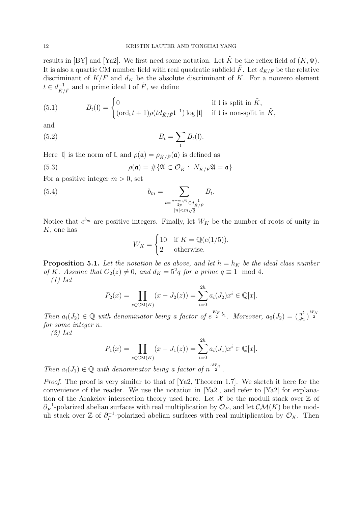results in [BY] and [Ya2]. We first need some notation. Let  $\tilde{K}$  be the reflex field of  $(K, \Phi)$ . It is also a quartic CM number field with real quadratic subfield  $\tilde{F}$ . Let  $d_{K/F}$  be the relative discriminant of  $K/F$  and  $d_K$  be the absolute discriminant of K. For a nonzero element  $t \in d_{\tilde{\nu}}^{-1}$  $\overline{\tilde{K}}/\tilde{F}$  and a prime ideal l of  $\tilde{F}$ , we define

(5.1) 
$$
B_t(\mathfrak{l}) = \begin{cases} 0 & \text{if } \mathfrak{l} \text{ is split in } \tilde{K}, \\ (\text{ord}_{\mathfrak{l}} t + 1) \rho (td_{\tilde{K}/\tilde{F}} \mathfrak{l}^{-1}) \log |\mathfrak{l}| & \text{if } \mathfrak{l} \text{ is non-split in } \tilde{K}, \end{cases}
$$

and

(5.2) 
$$
B_t = \sum_{\mathfrak{l}} B_t(\mathfrak{l}).
$$

Here |l| is the norm of l, and  $\rho(\mathfrak{a}) = \rho_{\tilde{K}/\tilde{F}}(\mathfrak{a})$  is defined as

(5.3) 
$$
\rho(\mathfrak{a}) = \#\{\mathfrak{A} \subset \mathcal{O}_{\tilde{K}} : N_{\tilde{K}/\tilde{F}}\mathfrak{A} = \mathfrak{a}\}.
$$

For a positive integer  $m > 0$ , set

(5.4) 
$$
b_m = \sum_{\substack{t = \frac{n + m\sqrt{q}}{2p} \in d_{\tilde{K}/\tilde{F}}^{-1} \\ |n| < m\sqrt{q}}} B_t.
$$

Notice that  $e^{b_m}$  are positive integers. Finally, let  $W_K$  be the number of roots of unity in K, one has

$$
W_K = \begin{cases} 10 & \text{if } K = \mathbb{Q}(e(1/5)), \\ 2 & \text{otherwise.} \end{cases}
$$

**Proposition 5.1.** Let the notation be as above, and let  $h = h_K$  be the ideal class number of K. Assume that  $G_2(z) \neq 0$ , and  $d_K = 5^2q$  for a prime  $q \equiv 1 \mod 4$ . (1) Let

$$
P_2(x) = \prod_{z \in \text{CM}(K)} (x - J_2(z)) = \sum_{i=0}^{2h} a_i(J_2) x^i \in \mathbb{Q}[x].
$$

Then  $a_i(J_2) \in \mathbb{Q}$  with denominator being a factor of  $e^{\frac{W_K}{2}b_1}$ . Moreover,  $a_0(J_2) = \left(\frac{n^5}{e^{b_1}}\right)$  $\frac{n^5}{e^{b_1}}$  $\Big)^{W_K}$ for some integer n.

(2) Let

$$
P_1(x) = \prod_{z \in \text{CM}(K)} (x - J_1(z)) = \sum_{i=0}^{2h} a_i(J_1) x^i \in \mathbb{Q}[x].
$$

Then  $a_i(J_1) \in \mathbb{Q}$  with denominator being a factor of  $n^{\frac{3W_K}{2}}$ .

Proof. The proof is very similar to that of [Ya2, Theorem 1.7]. We sketch it here for the convenience of the reader. We use the notation in [Ya2], and refer to [Ya2] for explanation of the Arakelov intersection theory used here. Let X be the moduli stack over  $\mathbb Z$  of  $\partial_F^{-1}$  $\mathcal{O}_F^{-1}$ -polarized abelian surfaces with real multiplication by  $\mathcal{O}_F$ , and let  $\mathcal{CM}(K)$  be the moduli stack over  $\mathbb{Z}$  of  $\partial_F^{-1}$  $\mathcal{O}_F^{-1}$ -polarized abelian surfaces with real multiplication by  $\mathcal{O}_K$ . Then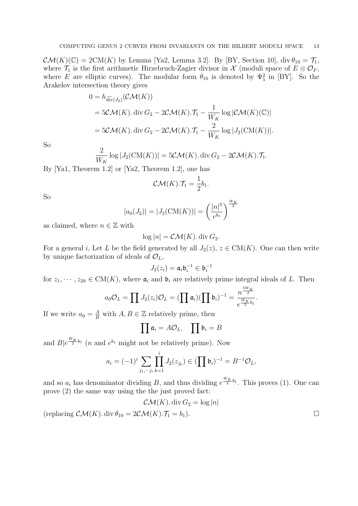$\mathcal{CM}(K)(\mathbb{C}) = 2\mathrm{CM}(K)$  by Lemma [Ya2, Lemma 3.2]. By [BY, Section 10], div  $\theta_{10} = \mathcal{T}_1$ , where  $\mathcal{T}_1$  is the first arithmetic Hirzebruch-Zagier divisor in X (moduli space of  $E \otimes \mathcal{O}_F$ , where E are elliptic curves). The modular form  $\theta_{10}$  is denoted by  $\Psi_5^2$  in [BY]. So the Arakelov intersection theory gives

$$
0 = h_{\widehat{\text{div}}(J_2)}(\mathcal{CM}(K))
$$
  
=  $5\mathcal{CM}(K)$ . div  $G_2 - 2\mathcal{CM}(K)$ .  $\mathcal{T}_1 - \frac{1}{W_K} \log |\mathcal{CM}(K)(\mathbb{C})|$   
=  $5\mathcal{CM}(K)$ . div  $G_2 - 2\mathcal{CM}(K)$ .  $\mathcal{T}_1 - \frac{2}{W_K} \log |J_2(\text{CM}(K))|$ .

So

$$
\frac{2}{W_K} \log |J_2(\text{CM}(K))| = 5\mathcal{CM}(K). \operatorname{div} G_2 - 2\mathcal{CM}(K).\mathcal{T}_1.
$$

By [Ya1, Theorem 1.2] or [Ya2, Theorem 1.2], one has

$$
\mathcal{CM}(K).\mathcal{T}_1 = \frac{1}{2}b_1.
$$

So

$$
|a_0(J_2)| = |J_2(\text{CM}(K))| = \left(\frac{|n|^5}{e^{b_1}}\right)^{\frac{W_K}{2}}
$$

as claimed, where  $n \in \mathbb{Z}$  with

$$
\log |n| = \mathcal{CM}(K) \cdot \text{div } G_2.
$$

For a general i, Let L be the field generated by all  $J_2(z)$ ,  $z \in CM(K)$ . One can then write by unique factorization of ideals of  $\mathcal{O}_L$ ,

$$
J_2(z_i) = \mathfrak{a}_i \mathfrak{b}_i^{-1} \in \mathfrak{b}_i^{-1}
$$

for  $z_1, \dots, z_{2h} \in CM(K)$ , where  $\mathfrak{a}_i$  and  $\mathfrak{b}_i$  are relatively prime integral ideals of L. Then

$$
a_0 \mathcal{O}_L = \prod J_2(z_i) \mathcal{O}_L = (\prod \mathfrak{a}_i) (\prod \mathfrak{b}_i)^{-1} = \frac{n^{\frac{5W_K}{2}}}{e^{\frac{W_K}{2}b_1}}.
$$

If we write  $a_0 = \frac{A}{B}$  with  $A, B \in \mathbb{Z}$  relatively prime, then

$$
\prod \mathfrak{a}_i = A \mathcal{O}_L, \quad \prod \mathfrak{b}_i = B
$$

and  $B|e^{\frac{W_K}{2}b_1}$  (*n* and  $e^{b_1}$  might not be relatively prime). Now

$$
a_i = (-1)^i \sum_{j_1, \dots, j_i} \prod_{k=1}^i J_2(z_{j_k}) \in (\prod \mathfrak{b}_i)^{-1} = B^{-1} \mathcal{O}_L,
$$

and so  $a_i$  has denominator dividing B, and thus dividing  $e^{\frac{W_K}{2}b_1}$ . This proves (1). One can prove (2) the same way using the the just proved fact:

$$
\mathcal{CM}(K) \cdot \text{div } G_2 = \log |n|
$$

(replacing  $\mathcal{CM}(K)$ . div  $\theta_{10} = 2\mathcal{CM}(K)$ .  $\mathcal{T}_1 = b_1$ ).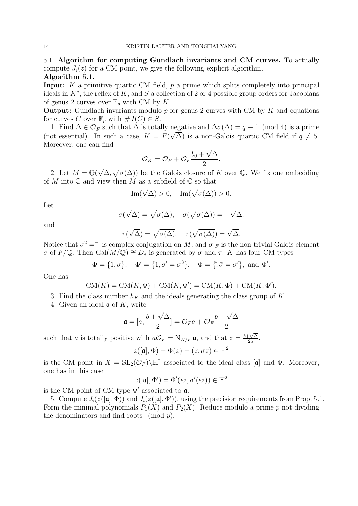5.1. Algorithm for computing Gundlach invariants and CM curves. To actually compute  $J_i(z)$  for a CM point, we give the following explicit algorithm. Algorithm 5.1.

**Input:** K a primitive quartic CM field,  $p$  a prime which splits completely into principal ideals in  $K^*$ , the reflex of K, and S a collection of 2 or 4 possible group orders for Jacobians of genus 2 curves over  $\mathbb{F}_p$  with CM by K.

**Output:** Gundlach invariants modulo  $p$  for genus 2 curves with CM by  $K$  and equations for curves C over  $\mathbb{F}_p$  with  $\#J(C) \in S$ .

1. Find  $\Delta \in \mathcal{O}_F$  such that  $\Delta$  is totally negative and  $\Delta \sigma(\Delta) = q \equiv 1 \pmod{4}$  is a prime (not essential). In such a case,  $K = F(\sqrt{\Delta})$  is a non-Galois quartic CM field if  $q \neq 5$ . Moreover, one can find √

$$
\mathcal{O}_K=\mathcal{O}_F+\mathcal{O}_F\frac{b_0+\sqrt{\Delta}}{2}.
$$

2. Let  $M = \mathbb{Q}(\sqrt{2})$  $(\overline{\Delta}, \sqrt{\sigma(\Delta)})$  be the Galois closure of K over Q. We fix one embedding of M into  $\mathbb C$  and view then M as a subfield of  $\mathbb C$  so that

Im(
$$
\sqrt{\Delta}
$$
) > 0, Im( $\sqrt{\sigma(\Delta)}$ ) > 0.

Let

$$
\sigma(\sqrt{\Delta}) = \sqrt{\sigma(\Delta)}, \quad \sigma(\sqrt{\sigma(\Delta)}) = -\sqrt{\Delta},
$$

and

$$
\tau(\sqrt{\Delta}) = \sqrt{\sigma(\Delta)}, \quad \tau(\sqrt{\sigma(\Delta)}) = \sqrt{\Delta}.
$$

Notice that  $\sigma^2 = \overline{\sigma}$  is complex conjugation on M, and  $\sigma|_F$  is the non-trivial Galois element  $σ$  of  $F/Q$ . Then Gal( $M/Q$ ) ≅  $D_8$  is generated by  $σ$  and  $τ$ . K has four CM types

$$
\Phi = \{1, \sigma\}, \quad \Phi' = \{1, \sigma' = \sigma^3\}, \quad \bar{\Phi} = \{\bar{\sigma}, \bar{\sigma} = \sigma'\}, \text{ and } \bar{\Phi}'.
$$

One has

$$
CM(K) = CM(K, \Phi) + CM(K, \Phi') = CM(K, \overline{\Phi}) + CM(K, \overline{\Phi}').
$$

- 3. Find the class number  $h_K$  and the ideals generating the class group of K.
- 4. Given an ideal  $\mathfrak a$  of K, write

$$
\mathfrak{a} = [a, \frac{b + \sqrt{\Delta}}{2}] = \mathcal{O}_F a + \mathcal{O}_F \frac{b + \sqrt{\Delta}}{2}
$$

such that a is totally positive with  $a\mathcal{O}_F = N_{K/F} \mathfrak{a}$ , and that  $z = \frac{b + \sqrt{\Delta}}{2a}$  $\frac{-\sqrt{\Delta}}{2a}$ .

$$
z([\mathfrak{a}], \Phi) = \Phi(z) = (z, \sigma z) \in \mathbb{H}^2
$$

is the CM point in  $X = SL_2(\mathcal{O}_F)\backslash\mathbb{H}^2$  associated to the ideal class [a] and  $\Phi$ . Moreover, one has in this case

$$
z([\mathfrak{a}], \Phi') = \Phi'(\epsilon z, \sigma'(\epsilon z)) \in \mathbb{H}^2
$$

is the CM point of CM type  $\Phi'$  associated to  $\mathfrak{a}$ .

5. Compute  $J_i(z([\mathfrak{a}], \Phi))$  and  $J_i(z([\mathfrak{a}], \Phi'))$ , using the precision requirements from Prop. 5.1. Form the minimal polynomials  $P_1(X)$  and  $P_2(X)$ . Reduce modulo a prime p not dividing the denominators and find roots  $\pmod{p}$ .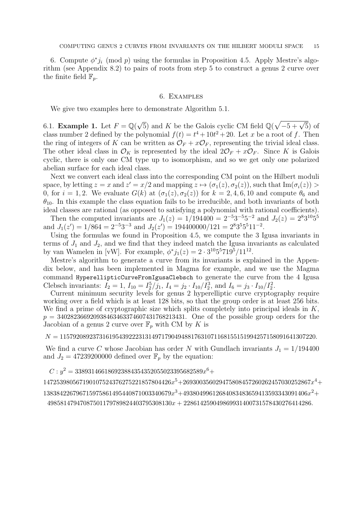6. Compute  $\phi^* j_i \pmod{p}$  using the formulas in Proposition 4.5. Apply Mestre's algorithm (see Appendix 8.2) to pairs of roots from step 5 to construct a genus 2 curve over the finite field  $\mathbb{F}_p$ .

### 6. Examples

We give two examples here to demonstrate Algorithm 5.1.

6.1. **Example 1.** Let  $F = \mathbb{Q}(\sqrt{5})$  and K be the Galois cyclic CM field  $\mathbb{Q}(\sqrt{-5 + \sqrt{5}})$  of class number 2 defined by the polynomial  $f(t) = t^4 + 10t^2 + 20$ . Let x be a root of f. Then the ring of integers of K can be written as  $\mathcal{O}_F + x\mathcal{O}_F$ , representing the trivial ideal class. The other ideal class in  $\mathcal{O}_K$  is represented by the ideal  $2\mathcal{O}_F + x\mathcal{O}_F$ . Since K is Galois cyclic, there is only one CM type up to isomorphism, and so we get only one polarized abelian surface for each ideal class.

Next we convert each ideal class into the corresponding CM point on the Hilbert moduli space, by letting  $z = x$  and  $z' = x/2$  and mapping  $z \mapsto (\sigma_1(z), \sigma_2(z))$ , such that  $\text{Im}(\sigma_i(z)) >$ 0, for  $i = 1, 2$ . We evaluate  $G(k)$  at  $(\sigma_1(z), \sigma_2(z))$  for  $k = 2, 4, 6, 10$  and compute  $\theta_6$  and  $\theta_{10}$ . In this example the class equation fails to be irreducible, and both invariants of both ideal classes are rational (as opposed to satisfying a polynomial with rational coefficients).

Then the computed invariants are  $J_1(z) = 1/194400 = 2^{-5}3^{-5}5^{-2}$  and  $J_2(z) = 2^83^{10}5^5$ and  $J_1(z') = 1/864 = 2^{-5}3^{-3}$  and  $J_2(z') = 194400000/121 = 2^83^55^511^{-2}$ .

Using the formulas we found in Proposition 4.5, we compute the 3 Igusa invariants in terms of  $J_1$  and  $J_2$ , and we find that they indeed match the Igusa invariants as calculated by van Wamelen in [vW]. For example,  $\phi^* j_1(z) = 2 \cdot 3^{10} 5^5 7 19^5 / 11^{12}$ .

Mestre's algorithm to generate a curve from its invariants is explained in the Appendix below, and has been implemented in Magma for example, and we use the Magma command HyperellipticCurveFromIgusaClebsch to generate the curve from the 4 Igusa Clebsch invariants:  $I_2 = 1$ ,  $I_{10} = I_2^5/j_1$ ,  $I_4 = j_2 \cdot I_{10}/I_2^3$ , and  $I_6 = j_3 \cdot I_{10}/I_2^2$ .

Current minimum security levels for genus 2 hyperelliptic curve cryptography require working over a field which is at least 128 bits, so that the group order is at least 256 bits. We find a prime of cryptographic size which splits completely into principal ideals in  $K$ ,  $p = 340282366920938463463374607431768213431$ . One of the possible group orders for the Jacobian of a genus 2 curve over  $\mathbb{F}_p$  with CM by K is

 $N = 115792089237316195439222313149717904948817631071168155151994257158091641307220.$ 

We find a curve C whose Jacobian has order N with Gundlach invariants  $J_1 = 1/194400$ and  $J_2 = 47239200000$  defined over  $\mathbb{F}_p$  by the equation:

 $C: y^2 = 338931466186923884354352055023395682589x^6 +$ 

 $147253980567190107524376275221857804426x^5 + 269300356029475808457260262457030252867x^4 +$  ${138384226796715975861495440871003340679} x^3 + 49380499612684083483659413593343091406 x^2 +$ 

 $49858147947087501179789824403795308130x + 228614259049869931400731578430276414286.$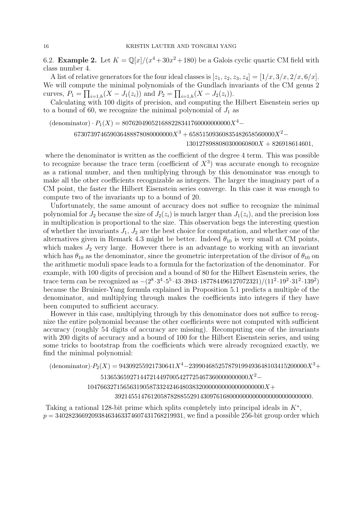6.2. **Example 2.** Let  $K = \mathbb{Q}[x]/(x^4 + 30x^2 + 180)$  be a Galois cyclic quartic CM field with class number 4.

A list of relative generators for the four ideal classes is  $[z_1, z_2, z_3, z_4] = [1/x, 3/x, 2/x, 6/x]$ . We will compute the minimal polynomials of the Gundlach invariants of the CM genus 2 curves,  $P_1 = \prod_{i=1,h}(X - J_1(z_i))$  and  $P_2 = \prod_{i=1,h}(X - J_2(z_i))$ .

Calculating with 100 digits of precision, and computing the Hilbert Eisenstein series up to a bound of 60, we recognize the minimal polynomial of  $J_1$  as

 $(d$ enominator) ·  $P_1(X) = 8076204905216882283417600000000000X^4$ 

 $673073974659036488878080000000X^3 + 65851509360835482658560000X^2-$ 

 $1301278988080300060800X + 826918614601$ 

where the denominator is written as the coefficient of the degree 4 term. This was possible to recognize because the trace term (coefficient of  $X<sup>3</sup>$ ) was accurate enough to recognize as a rational number, and then multiplying through by this denominator was enough to make all the other coefficients recognizable as integers. The larger the imaginary part of a CM point, the faster the Hilbert Eisenstein series converge. In this case it was enough to compute two of the invariants up to a bound of 20.

Unfortunately, the same amount of accuracy does not suffice to recognize the minimal polynomial for  $J_2$  because the size of  $J_2(z_i)$  is much larger than  $J_1(z_i)$ , and the precision loss in multiplication is proportional to the size. This observation begs the interesting question of whether the invariants  $J_1, J_2$  are the best choice for computation, and whether one of the alternatives given in Remark 4.3 might be better. Indeed  $\theta_{10}$  is very small at CM points, which makes  $J_2$  very large. However there is an advantage to working with an invariant which has  $\theta_{10}$  as the denominator, since the geometric interpretation of the divisor of  $\theta_{10}$  on the arithmetic moduli space leads to a formula for the factorization of the denominator. For example, with 100 digits of precision and a bound of 80 for the Hilbert Eisenstein series, the trace term can be recognized as  $-(2^8 \cdot 3^4 \cdot 5^5 \cdot 43 \cdot 3943 \cdot 187784496127072321)/(11^2 \cdot 19^2 \cdot 31^2 \cdot 139^2)$ because the Bruinier-Yang formula explained in Proposition 5.1 predicts a multiple of the denominator, and multiplying through makes the coefficients into integers if they have been computed to sufficient accuracy.

However in this case, multiplying through by this denominator does not suffice to recognize the entire polynomial because the other coefficients were not computed with sufficient accuracy (roughly 54 digits of accuracy are missing). Recomputing one of the invariants with 200 digits of accuracy and a bound of 100 for the Hilbert Eisenstein series, and using some tricks to bootstrap from the coefficients which were already recognized exactly, we find the minimal polynomial:

 $(\text{denominator}) \cdot P_2(X) = 94309255921730641X^4 - 239904685257879199493648103415200000X^3 +$  $5136536592714472144970054277254673600000000000X^2-$ 104766327156563190587332424648038320000000000000000000X+ 392145514761205878288552914309761680000000000000000000000000.

Taking a rational 128-bit prime which splits completely into principal ideals in  $K^*$ ,  $p = 340282366920938463463374607431768219931$ , we find a possible 256-bit group order which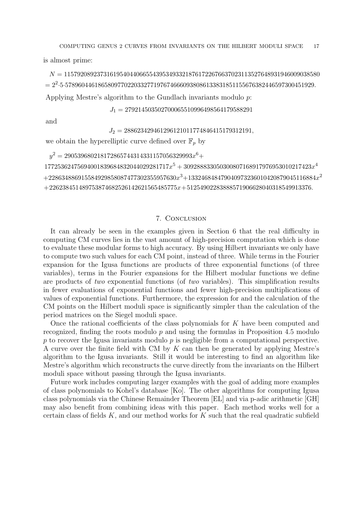COMPUTING GENUS 2 CURVES FROM INVARIANTS ON THE HILBERT MODULI SPACE 17

is almost prime:

 $N = 115792089237316195404406655439534933218761722676637023113527648931946009038580$  $= 2^2 \cdot 5 \cdot 5789604461865809770220332771976746660938086133831851155676382446597300451929.$ Applying Mestre's algorithm to the Gundlach invariants modulo p:

 $J_1=279214503502700065510996498564179588291$ 

and

 $J_2 = 288623429461296121011774846415179312191,$ 

we obtain the hyperelliptic curve defined over  $\mathbb{F}_p$  by

y <sup>2</sup> = 290539680218172865744314331157056329993x <sup>6</sup>+

 $17725362475694001839684832044029281717 $x^5+309288833050300807168917976953010217423 $x^4$$$  $+ 228634886915584929858087477302355957630\allowbreak x^3 + 133246848479040973236010420879045116884\allowbreak x^2$  $+226238451489753874682526142621565485775x+51254902283888571906628040318549913376.$ 

### 7. Conclusion

It can already be seen in the examples given in Section 6 that the real difficulty in computing CM curves lies in the vast amount of high-precision computation which is done to evaluate these modular forms to high accuracy. By using Hilbert invariants we only have to compute two such values for each CM point, instead of three. While terms in the Fourier expansion for the Igusa functions are products of three exponential functions (of three variables), terms in the Fourier expansions for the Hilbert modular functions we define are products of two exponential functions (of two variables). This simplification results in fewer evaluations of exponential functions and fewer high-precision multiplications of values of exponential functions. Furthermore, the expression for and the calculation of the CM points on the Hilbert moduli space is significantly simpler than the calculation of the period matrices on the Siegel moduli space.

Once the rational coefficients of the class polynomials for K have been computed and recognized, finding the roots modulo  $p$  and using the formulas in Proposition 4.5 modulo  $p$  to recover the Igusa invariants modulo  $p$  is negligible from a computational perspective. A curve over the finite field with CM by K can then be generated by applying Mestre's algorithm to the Igusa invariants. Still it would be interesting to find an algorithm like Mestre's algorithm which reconstructs the curve directly from the invariants on the Hilbert moduli space without passing through the Igusa invariants.

Future work includes computing larger examples with the goal of adding more examples of class polynomials to Kohel's database [Ko]. The other algorithms for computing Igusa class polynomials via the Chinese Remainder Theorem [EL] and via p-adic arithmetic [GH] may also benefit from combining ideas with this paper. Each method works well for a certain class of fields  $K$ , and our method works for  $K$  such that the real quadratic subfield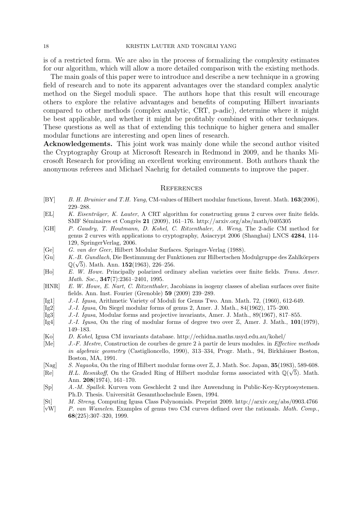#### 18 KRISTIN LAUTER AND TONGHAI YANG

is of a restricted form. We are also in the process of formalizing the complexity estimates for our algorithm, which will allow a more detailed comparison with the existing methods.

The main goals of this paper were to introduce and describe a new technique in a growing field of research and to note its apparent advantages over the standard complex analytic method on the Siegel moduli space. The authors hope that this result will encourage others to explore the relative advantages and benefits of computing Hilbert invariants compared to other methods (complex analytic, CRT, p-adic), determine where it might be best applicable, and whether it might be profitably combined with other techniques. These questions as well as that of extending this technique to higher genera and smaller modular functions are interesting and open lines of research.

Acknowledgements. This joint work was mainly done while the second author visited the Cryptography Group at Microsoft Research in Redmond in 2009, and he thanks Microsoft Research for providing an excellent working environment. Both authors thank the anonymous referees and Michael Naehrig for detailed comments to improve the paper.

#### **REFERENCES**

- [BY] B. H. Bruinier and T.H. Yang, CM-values of Hilbert modular functions, Invent. Math. 163(2006), 229–288.
- [EL] K. Eisenträger, K. Lauter, A CRT algorithm for constructing genus 2 curves over finite fields. SMF Séminaires et Congrès 21 (2009), 161–176. http://arxiv.org/abs/math/0405305
- [GH] P. Gaudry, T. Houtmann, D. Kohel, C. Ritzenthaler, A. Weng, The 2-adic CM method for genus 2 curves with applications to cryptography, Asiacrypt 2006 (Shanghai) LNCS 4284, 114- 129, SpringerVerlag, 2006.
- [Ge] G. van der Geer, Hilbert Modular Surfaces. Springer-Verlag (1988).
- [Gu] K.-B. Gundlach, Die Bestimmung der Funktionen zur Hilbertschen Modulgruppe des Zahlkörpers  $\mathbb{Q}(\sqrt{5})$ . Math. Ann. 152(1963), 226–256.
- [Ho] E. W. Howe. Principally polarized ordinary abelian varieties over finite fields. Trans. Amer. Math. Soc., **347**(7):2361-2401, 1995.
- [HNR] E. W. Howe, E. Nart, C. Ritzenthaler, Jacobians in isogeny classes of abelian surfaces over finite fields. Ann. Inst. Fourier (Grenoble) 59 (2009) 239–289.
- [Ig1] J.-I. Igusa, Arithmetic Variety of Moduli for Genus Two. Ann. Math. 72, (1960), 612-649.
- [Ig2] J.-I. Igusa, On Siegel modular forms of genus 2, Amer. J. Math., 84(1962), 175–200.
- [Ig3] J.-I. Igusa, Modular forms and projective invariants, Amer. J. Math., 89(1967), 817–855.
- [Ig4] J.-I. Igusa, On the ring of modular forms of degree two over  $\mathbb{Z}$ , Amer. J. Math., 101(1979), 149–183.
- [Ko] D. Kohel, Igusa CM invariants database. http://echidna.maths.usyd.edu.au/kohel/
- [Me] J.-F. Mestre, Construction de courbes de genre 2 à partir de leurs modules. in *Effective methods* in algebraic geometry (Castiglioncello, 1990), 313–334, Progr. Math., 94, Birkhäuser Boston, Boston, MA, 1991.
- [Nag] S. Nagaoka, On the ring of Hilbert modular forms over Z, J. Math. Soc. Japan, 35(1983), 589-608.
- [Re] H.L. Resnikoff, On the Graded Ring of Hilbert modular forms associated with  $\mathbb{Q}(\sqrt{5})$ . Math. Ann. 208(1974), 161–170.
- [Sp] A.-M. Spallek. Kurven vom Geschlecht 2 und ihre Anwendung in Public-Key-Kryptosystemen. Ph.D. Thesis. Universität Gesamthochschule Essen, 1994.
- [St] M. Streng, Computing Igusa Class Polynomials. Preprint 2009. http://arxiv.org/abs/0903.4766
- [vW] P. van Wamelen. Examples of genus two CM curves defined over the rationals. Math. Comp., 68(225):307–320, 1999.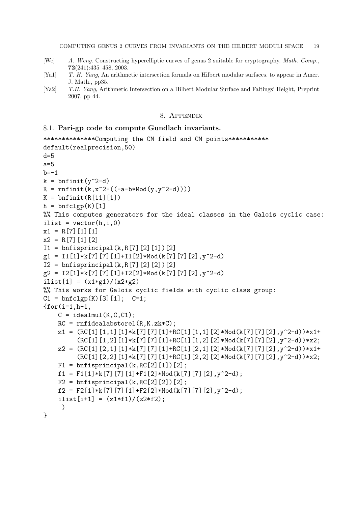- [We] A. Weng. Constructing hyperelliptic curves of genus 2 suitable for cryptography. Math. Comp., 72(241):435–458, 2003.
- [Ya1] T. H. Yang, An arithmetic intersection formula on Hilbert modular surfaces. to appear in Amer. J. Math., pp35.
- [Ya2] T.H. Yang, Arithmetic Intersection on a Hilbert Modular Surface and Faltings' Height, Preprint 2007, pp 44.

### 8. Appendix

## 8.1. Pari-gp code to compute Gundlach invariants.

```
**************Computing the CM field and CM points***********
default(realprecision,50)
d=5a=5b=-1k = \text{bnfinite}(y^2-d)R = r n f init(k, x^2 - ((-a-b * Mod(y, y^2-d))))K = \text{bnfinite}(R[11][1])h = \text{bnfclgp}(K)[1]%% This computes generators for the ideal classes in the Galois cyclic case:
ilist = vector(h, i, 0)x1 = R[7][1][1]x2 = R[7][1][2]I1 = \text{bnfisprincipal}(k, R[7][2][1])[2]g1 = I1[1]*k[7][7][1]+I1[2]*Mod(k[7][7][2],y^2-d)I2 = \text{bnfisprincipal}(k, R[7][2][2])[2])[2]
g2 = I2[1]*k[7][7][1]+I2[2]*Mod(k[7][7][2],y^2-d)ilist[1] = (x1 * g1) / (x2 * g2)%% This works for Galois cyclic fields with cyclic class group:
C1 = \text{bnfclgp}(K) [3] [1]; C=1;
\{for(i=1,h-1,C = idealmul(K, C, C1);RC = \text{mfidealabstorel}(R,K.zk*C);z1 = (RC[1][1,1][1]*k[7][7][1]+RC[1][1,1][2]*Mod(k[7][7][2],y^2-d))*x1+(RC[1][1,2][1]*k[7][7][1]+RC[1][1,2][2]*Mod(k[7][7][2],y^2-d))*x2;
    z2 = (RC[1][2,1][1]*k[7][7][1]*RC[1][2,1][2]*Mod(k[7][7][2],y^2-d))*x1+(RC[1][2,2][1]*k[7][7][1]+RC[1][2,2][2]*Mod(k[7][7][2],y^2-d))*x2;
    F1 = \text{bnfisprincipal}(k, RC[2][1])[2];f1 = F1[1]*k[7][7][1]+F1[2]*Mod(k[7][7][2],y^2-d);F2 = \text{bnfisprincipal}(k, RC[2][2])[2];f2 = F2[1]*k[7][7][1]+F2[2]*Mod(k[7][7][2],y^2-d);ilist[i+1] = (z1*f1)/(z2*f2);)
}
```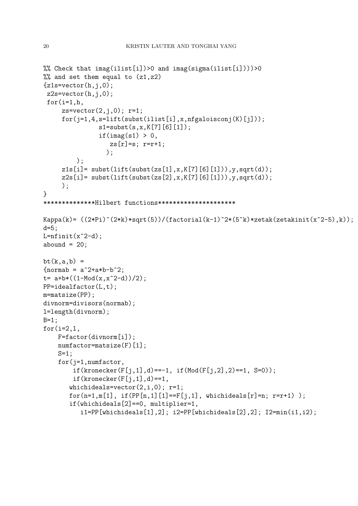```
%% Check that img(ilist[i])>0 and img(sigma(ilist[i]))>0%% and set them equal to (z1,z2)
{z1s=vector(h,i,0)};
z2s=vector(h,i,0);for(i=1,h,zs=vector(2, j, 0); r=1;
     for(i=1,4,s=lift(subst(ilist[i],x,nfgaloisconj(K)[j]));
               s1=subst(s,x,K[7][6][1]);
               if(imag(s1) > 0,zs[r]=s; r=r+1;);
         );
     z1s[i] = subst(lift(subst(zs[1],x,K[7][6][1])),y,sqrt(d));
     z2s[i] = subst(lift(subst(zs[2],x,K[7][6][1])),y,sqrt(d));
     );
}
**************Hilbert functions*********************
Kappa(k)= ((2*Pi)^(2*k)*sqrt(5))/(factorial(k-1)^2*(5^k)*zetak(zetakinit(x^2-5),k));d=5;
L=nfinite(x^2-d);abound = 20;
bt(k,a,b) ={formab = a^2+a*b-b^2};t= a+b*((1-Mod(x,x^2-d))/2);
PP=idealfactor(L,t);
m=matsize(PP);
divnorm=divisors(normab);
l=length(divnorm);
B=1;for(i=2,1,F=factor(divnorm[i]);
    numfactor=matsize(F)[1];
    S=1:
    for(j=1,numfactor,
        if(kronecker(F[j,1],d) == -1, if(Mod(F[j,2],2) == 1, S=0));if(kronecker(F[i,1],d) == 1,whichideals=vector(2,i,0); r=1;
       for(n=1,m[1], if(PP[n,1][1]==F[i,1], which ideals[r]=n; r=r+1));
       if(whichideals[2]==0, multiplier=1,
          i1=PP[whichideals[1],2]; i2=PP[whichideals[2],2]; I2=min(i1,i2);
```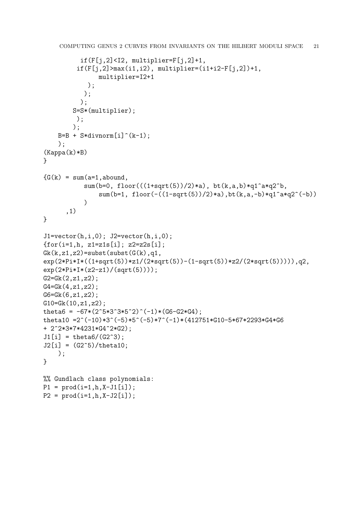```
if(F[j,2]<12, multiplier=F[j,2]+1,if(F[j,2] > max(i1,i2), multiplier = (i1+i2-F[j,2])+1,multiplier=I2+1
            );
           );
          );
        S=S*(multiplier);
         );
        );
    B=B + S*divnorm[i](k-1););
(Kappa(k)*B)
}
{G(k) = sum(a=1,abound,)}sum(b=0, floor(((1+sqrt(5))/2)*a), bt(k,a,b)*q1^a*q2^b,
                sum(b=1, floor(-((1-sqrt(5))/2)*a),bt(k,a,-b)*q1^a*q2^(-b))
           )
      ,1)
}
J1=vector(h,i,0); J2=vector(h,i,0);{for(i=1,h, z1=z1s[i]; z2=z2s[i];}Gk(k, z1, z2) = \text{subst}(\text{subst}(G(k), q1))exp(2*Pi*I*((1+sqrt(5))*z1/(2*sqrt(5))-(1-sqrt(5))*z2/(2*sqrt(5))))),q2,
exp(2*Pi*I*(z2-z1)/(sqrt(5))));
G2=Gk(2,z1,z2);
G4 = Gk(4, z1, z2);
G6 = Gk(6, z1, z2);G10=Gk(10,z1,z2);
theta6 = -67*(2^5*3^3*5^2)^(-1)*(G6-G2*G4);
theta10 = 2^(-10)*3^(-5)*5^(-5)*7^(-1)*(412751*G10-5*67*2293*G4*G6+ 2^2*3*7*4231*G4^2*G2);
J1[i] = \text{theta}(G(62^s));J2[i] = (G2^5)/\text{theta10};);
}
%% Gundlach class polynomials:
P1 = \text{prod}(i=1,h,X-J1[i]);P2 = prod(i=1,h,X-J2[i]);
```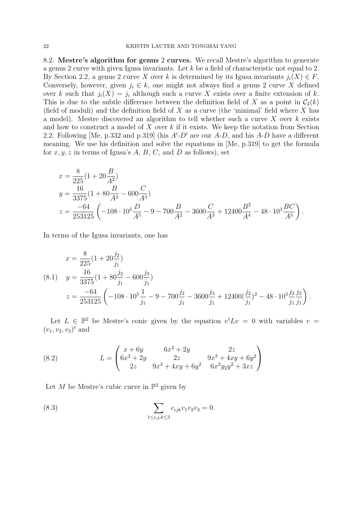8.2. Mestre's algorithm for genus 2 curves. We recall Mestre's algorithm to generate a genus 2 curve with given Igusa invariants. Let k be a field of characteristic not equal to 2. By Section 2.2, a genus 2 curve X over k is determined by its Igusa invariants  $j_i(X) \in F$ . Conversely, however, given  $j_i \in k$ , one might not always find a genus 2 curve X defined over k such that  $j_i(X) = j_i$  although such a curve X exists over a finite extension of k. This is due to the subtle difference between the definition field of X as a point in  $C_2(k)$ (field of moduli) and the definition field of X as a curve (the 'minimal' field where X has a model). Mestre discovered an algorithm to tell whether such a curve  $X$  over  $k$  exists and how to construct a model of  $X$  over  $k$  if it exists. We keep the notation from Section 2.2. Following [Me, p.332 and p.319] (his  $A-D'$  are our  $A-D$ , and his  $A-D$  have a different meaning. We use his definition and solve the equations in [Me, p.319] to get the formula for  $x, y, z$  in terms of Igusa's  $A, B, C$ , and  $D$  as follows), set

$$
x = \frac{8}{225}(1+20\frac{B}{A^2})
$$
  
\n
$$
y = \frac{16}{3375}(1+80\frac{B}{A^2}-600\frac{C}{A^3})
$$
  
\n
$$
z = \frac{-64}{253125}\left(-108\cdot 10^5\frac{D}{A^5}-9-700\frac{B}{A^2}-3600\frac{C}{A^3}+12400\frac{B^2}{A^4}-48\cdot 10^3\frac{BC}{A^5}\right).
$$

In terms of the Igusa invariants, one has

$$
x = \frac{8}{225}(1+20\frac{j_2}{j_1})
$$
  
(8.1) 
$$
y = \frac{16}{3375}(1+80\frac{j_2}{j_1}-600\frac{j_3}{j_1})
$$

$$
z = \frac{-64}{253125}\left(-108\cdot 10^5\frac{1}{j_1}-9-700\frac{j_2}{j_1}-3600\frac{j_3}{j_1}+12400\left(\frac{j_2}{j_1}\right)^2-48\cdot 10^3\frac{j_2}{j_1}\frac{j_3}{j_1}\right).
$$

Let  $L \in \mathbb{P}^2$  be Mestre's conic given by the equation  $v^t L v = 0$  with variables  $v =$  $(v_1, v_2, v_3)^t$  and

(8.2) 
$$
L = \begin{pmatrix} x + 6y & 6x^2 + 2y & 2z \\ 6x^2 + 2y & 2z & 9x^3 + 4xy + 6y^2 \\ 2z & 9x^3 + 4xy + 6y^2 & 6x^2y_2y^2 + 3xz \end{pmatrix}
$$

Let M be Mestre's cubic curve in  $\mathbb{P}^2$  given by

(8.3) 
$$
\sum_{1 \le i,j,k \le 3} c_{ijk} v_1 v_2 v_3 = 0.
$$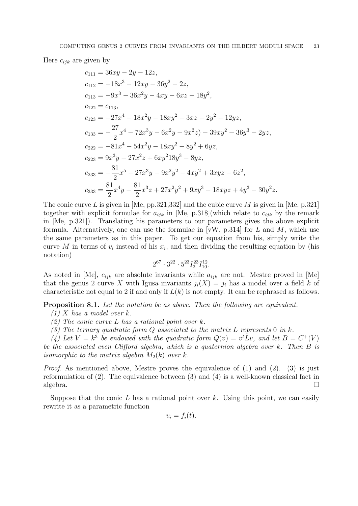Here  $c_{ijk}$  are given by

$$
c_{111} = 36xy - 2y - 12z,
$$
  
\n
$$
c_{112} = -18x^3 - 12xy - 36y^2 - 2z,
$$
  
\n
$$
c_{113} = -9x^3 - 36x^2y - 4xy - 6xz - 18y^2,
$$
  
\n
$$
c_{122} = c_{113},
$$
  
\n
$$
c_{123} = -27x^4 - 18x^2y - 18xy^2 - 3xz - 2y^2 - 12yz,
$$
  
\n
$$
c_{133} = -\frac{27}{2}x^4 - 72x^3y - 6x^2y - 9x^2z - 39xy^2 - 36y^3 - 2yz,
$$
  
\n
$$
c_{222} = -81x^4 - 54x^2y - 18xy^2 - 8y^2 + 6yz,
$$
  
\n
$$
c_{223} = 9x^3y - 27x^2z + 6xy^218y^3 - 8yz,
$$
  
\n
$$
c_{233} = -\frac{81}{2}x^5 - 27x^3y - 9x^2y^2 - 4xy^2 + 3xyz - 6z^2,
$$
  
\n
$$
c_{333} = \frac{81}{2}x^4y - \frac{81}{2}x^3z + 27x^2y^2 + 9xy^3 - 18xyz + 4y^3 - 30y^2z.
$$

The conic curve L is given in [Me, pp. 321, 332] and the cubic curve M is given in [Me, p. 321] together with explicit formulae for  $a_{ijk}$  in [Me, p.318](which relate to  $c_{ijk}$  by the remark in [Me, p.321]). Translating his parameters to our parameters gives the above explicit formula. Alternatively, one can use the formulae in [vW, p.314] for L and M, which use the same parameters as in this paper. To get our equation from his, simply write the curve M in terms of  $v_i$  instead of his  $x_i$ , and then dividing the resulting equation by (his notation)

$$
2^{67}\cdot 3^{22}\cdot 5^{23}I_{2}^{23}I_{10}^{12}.
$$

As noted in [Me],  $c_{ijk}$  are absolute invariants while  $a_{ijk}$  are not. Mestre proved in [Me] that the genus 2 curve X with Igusa invariants  $j_i(X) = j_i$  has a model over a field k of characteristic not equal to 2 if and only if  $L(k)$  is not empty. It can be rephrased as follows.

**Proposition 8.1.** Let the notation be as above. Then the following are equivalent.

- $(1)$  X has a model over k.
- (2) The conic curve L has a rational point over k.
- (3) The ternary quadratic form  $Q$  associated to the matrix L represents 0 in k.

(4) Let  $V = k^3$  be endowed with the quadratic form  $Q(v) = v^t L v$ , and let  $B = C^+(V)$ be the associated even Clifford algebra, which is a quaternion algebra over k. Then B is isomorphic to the matrix algebra  $M_2(k)$  over k.

*Proof.* As mentioned above, Mestre proves the equivalence of  $(1)$  and  $(2)$ .  $(3)$  is just reformulation of (2). The equivalence between (3) and (4) is a well-known classical fact in  $algebra.$ 

Suppose that the conic L has a rational point over k. Using this point, we can easily rewrite it as a parametric function

$$
v_i = f_i(t).
$$